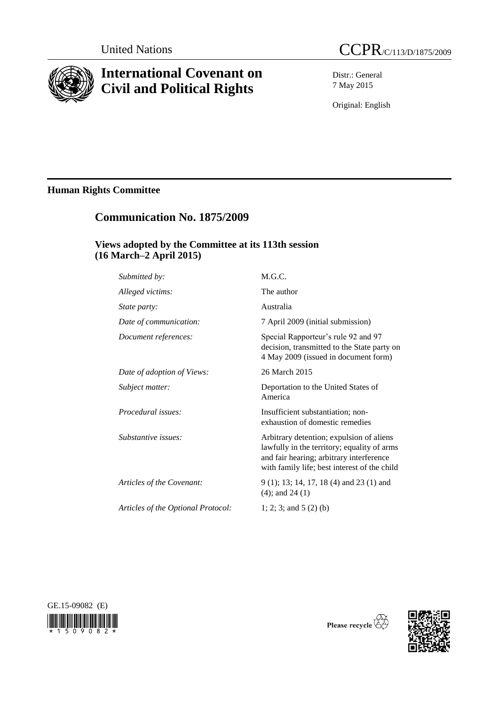

# **International Covenant on Civil and Political Rights**



Distr.: General 7 May 2015

Original: English

## **Human Rights Committee**

## **Communication No. 1875/2009**

## **Views adopted by the Committee at its 113th session (16 March–2 April 2015)**

| Submitted by:                      | M.G.C.                                                                                                                                                                              |
|------------------------------------|-------------------------------------------------------------------------------------------------------------------------------------------------------------------------------------|
| Alleged victims:                   | The author                                                                                                                                                                          |
| State party:                       | Australia                                                                                                                                                                           |
| Date of communication:             | 7 April 2009 (initial submission)                                                                                                                                                   |
| Document references:               | Special Rapporteur's rule 92 and 97<br>decision, transmitted to the State party on<br>4 May 2009 (issued in document form)                                                          |
| Date of adoption of Views:         | 26 March 2015                                                                                                                                                                       |
| Subject matter:                    | Deportation to the United States of<br>America                                                                                                                                      |
| Procedural issues:                 | Insufficient substantiation; non-<br>exhaustion of domestic remedies                                                                                                                |
| Substantive issues:                | Arbitrary detention; expulsion of aliens<br>lawfully in the territory; equality of arms<br>and fair hearing; arbitrary interference<br>with family life; best interest of the child |
| Articles of the Covenant:          | $9(1)$ ; 13; 14, 17, 18 (4) and 23 (1) and<br>$(4)$ ; and 24 $(1)$                                                                                                                  |
| Articles of the Optional Protocol: | 1; 2; 3; and $5(2)$ (b)                                                                                                                                                             |
|                                    |                                                                                                                                                                                     |



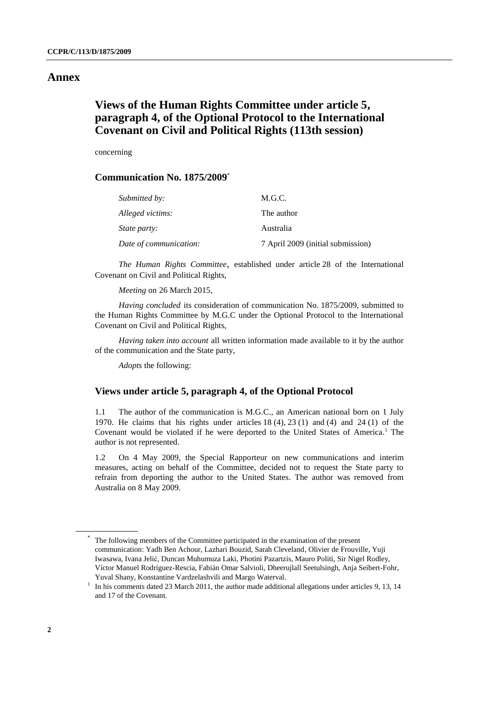#### **Annex**

## **Views of the Human Rights Committee under article 5, paragraph 4, of the Optional Protocol to the International Covenant on Civil and Political Rights (113th session)**

concerning

#### **Communication No. 1875/2009**\*

| Submitted by:          | M.G.C.                            |
|------------------------|-----------------------------------|
| Alleged victims:       | The author                        |
| <i>State party:</i>    | Australia                         |
| Date of communication: | 7 April 2009 (initial submission) |

*The Human Rights Committee*, established under article 28 of the International Covenant on Civil and Political Rights,

*Meeting* on 26 March 2015,

*Having concluded* its consideration of communication No. 1875/2009, submitted to the Human Rights Committee by M.G.C under the Optional Protocol to the International Covenant on Civil and Political Rights,

*Having taken into account* all written information made available to it by the author of the communication and the State party,

*Adopts* the following:

### **Views under article 5, paragraph 4, of the Optional Protocol**

1.1 The author of the communication is M.G.C., an American national born on 1 July 1970. He claims that his rights under articles 18 (4), 23 (1) and (4) and 24 (1) of the Covenant would be violated if he were deported to the United States of America. <sup>1</sup> The author is not represented.

1.2 On 4 May 2009, the Special Rapporteur on new communications and interim measures, acting on behalf of the Committee, decided not to request the State party to refrain from deporting the author to the United States. The author was removed from Australia on 8 May 2009.

<sup>\*</sup> The following members of the Committee participated in the examination of the present communication: Yadh Ben Achour, Lazhari Bouzid, Sarah Cleveland, Olivier de Frouville, Yuji Iwasawa, Ivana Jelić, Duncan Muhumuza Laki, Photini Pazartzis, Mauro Politi, Sir Nigel Rodley, Víctor Manuel Rodríguez-Rescia, Fabián Omar Salvioli, Dheerujlall Seetulsingh, Anja Seibert-Fohr, Yuval Shany, Konstantine Vardzelashvili and Margo Waterval.

<sup>1</sup> In his comments dated 23 March 2011, the author made additional allegations under articles 9, 13, 14 and 17 of the Covenant.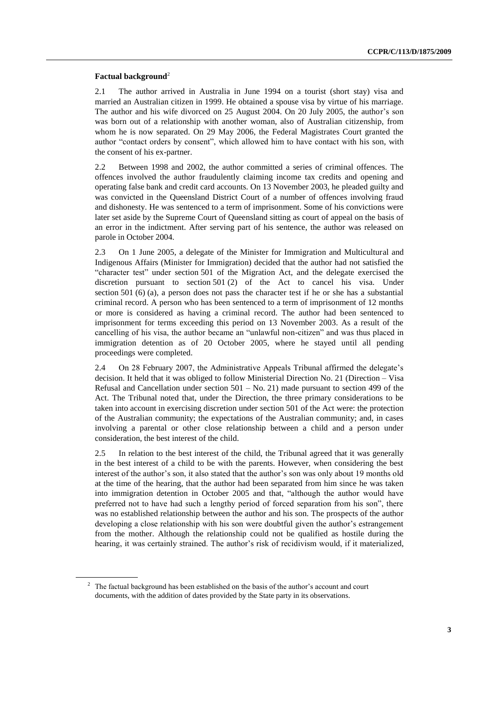#### **Factual background**<sup>2</sup>

2.1 The author arrived in Australia in June 1994 on a tourist (short stay) visa and married an Australian citizen in 1999. He obtained a spouse visa by virtue of his marriage. The author and his wife divorced on 25 August 2004. On 20 July 2005, the author's son was born out of a relationship with another woman, also of Australian citizenship, from whom he is now separated. On 29 May 2006, the Federal Magistrates Court granted the author "contact orders by consent", which allowed him to have contact with his son, with the consent of his ex-partner.

2.2 Between 1998 and 2002, the author committed a series of criminal offences. The offences involved the author fraudulently claiming income tax credits and opening and operating false bank and credit card accounts. On 13 November 2003, he pleaded guilty and was convicted in the Queensland District Court of a number of offences involving fraud and dishonesty. He was sentenced to a term of imprisonment. Some of his convictions were later set aside by the Supreme Court of Queensland sitting as court of appeal on the basis of an error in the indictment. After serving part of his sentence, the author was released on parole in October 2004.

2.3 On 1 June 2005, a delegate of the Minister for Immigration and Multicultural and Indigenous Affairs (Minister for Immigration) decided that the author had not satisfied the "character test" under section 501 of the Migration Act, and the delegate exercised the discretion pursuant to section 501 (2) of the Act to cancel his visa. Under section 501 (6) (a), a person does not pass the character test if he or she has a substantial criminal record. A person who has been sentenced to a term of imprisonment of 12 months or more is considered as having a criminal record. The author had been sentenced to imprisonment for terms exceeding this period on 13 November 2003. As a result of the cancelling of his visa, the author became an "unlawful non-citizen" and was thus placed in immigration detention as of 20 October 2005, where he stayed until all pending proceedings were completed.

2.4 On 28 February 2007, the Administrative Appeals Tribunal affirmed the delegate's decision. It held that it was obliged to follow Ministerial Direction No. 21 (Direction – Visa Refusal and Cancellation under section  $501 - No. 21$  made pursuant to section 499 of the Act. The Tribunal noted that, under the Direction, the three primary considerations to be taken into account in exercising discretion under section 501 of the Act were: the protection of the Australian community; the expectations of the Australian community; and, in cases involving a parental or other close relationship between a child and a person under consideration, the best interest of the child.

2.5 In relation to the best interest of the child, the Tribunal agreed that it was generally in the best interest of a child to be with the parents. However, when considering the best interest of the author's son, it also stated that the author's son was only about 19 months old at the time of the hearing, that the author had been separated from him since he was taken into immigration detention in October 2005 and that, "although the author would have preferred not to have had such a lengthy period of forced separation from his son", there was no established relationship between the author and his son. The prospects of the author developing a close relationship with his son were doubtful given the author's estrangement from the mother. Although the relationship could not be qualified as hostile during the hearing, it was certainly strained. The author's risk of recidivism would, if it materialized,

<sup>&</sup>lt;sup>2</sup> The factual background has been established on the basis of the author's account and court documents, with the addition of dates provided by the State party in its observations.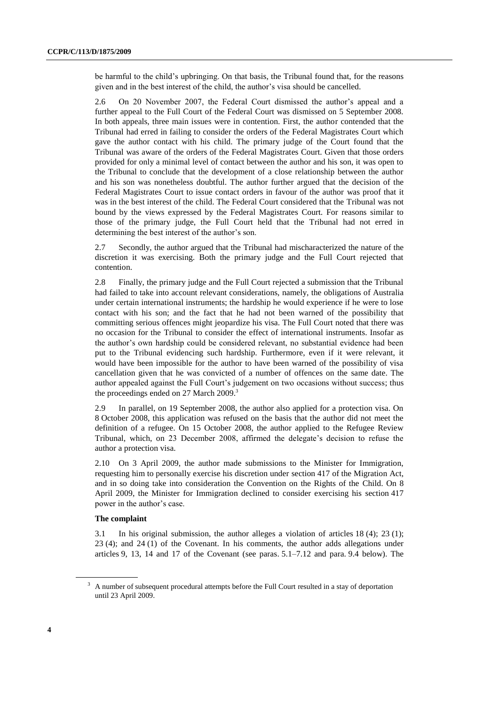be harmful to the child's upbringing. On that basis, the Tribunal found that, for the reasons given and in the best interest of the child, the author's visa should be cancelled.

2.6 On 20 November 2007, the Federal Court dismissed the author's appeal and a further appeal to the Full Court of the Federal Court was dismissed on 5 September 2008. In both appeals, three main issues were in contention. First, the author contended that the Tribunal had erred in failing to consider the orders of the Federal Magistrates Court which gave the author contact with his child. The primary judge of the Court found that the Tribunal was aware of the orders of the Federal Magistrates Court. Given that those orders provided for only a minimal level of contact between the author and his son, it was open to the Tribunal to conclude that the development of a close relationship between the author and his son was nonetheless doubtful. The author further argued that the decision of the Federal Magistrates Court to issue contact orders in favour of the author was proof that it was in the best interest of the child. The Federal Court considered that the Tribunal was not bound by the views expressed by the Federal Magistrates Court. For reasons similar to those of the primary judge, the Full Court held that the Tribunal had not erred in determining the best interest of the author's son.

2.7 Secondly, the author argued that the Tribunal had mischaracterized the nature of the discretion it was exercising. Both the primary judge and the Full Court rejected that contention.

2.8 Finally, the primary judge and the Full Court rejected a submission that the Tribunal had failed to take into account relevant considerations, namely, the obligations of Australia under certain international instruments; the hardship he would experience if he were to lose contact with his son; and the fact that he had not been warned of the possibility that committing serious offences might jeopardize his visa. The Full Court noted that there was no occasion for the Tribunal to consider the effect of international instruments. Insofar as the author's own hardship could be considered relevant, no substantial evidence had been put to the Tribunal evidencing such hardship. Furthermore, even if it were relevant, it would have been impossible for the author to have been warned of the possibility of visa cancellation given that he was convicted of a number of offences on the same date. The author appealed against the Full Court's judgement on two occasions without success; thus the proceedings ended on 27 March 2009. 3

2.9 In parallel, on 19 September 2008, the author also applied for a protection visa. On 8 October 2008, this application was refused on the basis that the author did not meet the definition of a refugee. On 15 October 2008, the author applied to the Refugee Review Tribunal, which, on 23 December 2008, affirmed the delegate's decision to refuse the author a protection visa.

2.10 On 3 April 2009, the author made submissions to the Minister for Immigration, requesting him to personally exercise his discretion under section 417 of the Migration Act, and in so doing take into consideration the Convention on the Rights of the Child. On 8 April 2009, the Minister for Immigration declined to consider exercising his section 417 power in the author's case.

#### **The complaint**

3.1 In his original submission, the author alleges a violation of articles 18 (4); 23 (1); 23 (4); and 24 (1) of the Covenant. In his comments, the author adds allegations under articles 9, 13, 14 and 17 of the Covenant (see paras. 5.1–7.12 and para. 9.4 below). The

<sup>&</sup>lt;sup>3</sup> A number of subsequent procedural attempts before the Full Court resulted in a stay of deportation until 23 April 2009.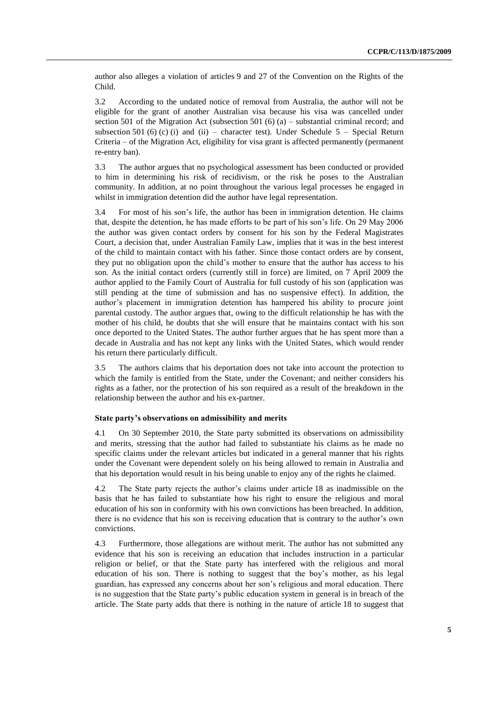author also alleges a violation of articles 9 and 27 of the Convention on the Rights of the Child.

3.2 According to the undated notice of removal from Australia, the author will not be eligible for the grant of another Australian visa because his visa was cancelled under section 501 of the Migration Act (subsection 501  $(6)$  (a) – substantial criminal record; and subsection 501 (6) (c) (i) and (ii) – character test). Under Schedule  $5$  – Special Return Criteria – of the Migration Act, eligibility for visa grant is affected permanently (permanent re-entry ban).

3.3 The author argues that no psychological assessment has been conducted or provided to him in determining his risk of recidivism, or the risk he poses to the Australian community. In addition, at no point throughout the various legal processes he engaged in whilst in immigration detention did the author have legal representation.

3.4 For most of his son's life, the author has been in immigration detention. He claims that, despite the detention, he has made efforts to be part of his son's life. On 29 May 2006 the author was given contact orders by consent for his son by the Federal Magistrates Court, a decision that, under Australian Family Law, implies that it was in the best interest of the child to maintain contact with his father. Since those contact orders are by consent, they put no obligation upon the child's mother to ensure that the author has access to his son. As the initial contact orders (currently still in force) are limited, on 7 April 2009 the author applied to the Family Court of Australia for full custody of his son (application was still pending at the time of submission and has no suspensive effect). In addition, the author's placement in immigration detention has hampered his ability to procure joint parental custody. The author argues that, owing to the difficult relationship he has with the mother of his child, he doubts that she will ensure that he maintains contact with his son once deported to the United States. The author further argues that he has spent more than a decade in Australia and has not kept any links with the United States, which would render his return there particularly difficult.

3.5 The authors claims that his deportation does not take into account the protection to which the family is entitled from the State, under the Covenant; and neither considers his rights as a father, nor the protection of his son required as a result of the breakdown in the relationship between the author and his ex-partner.

#### **State party's observations on admissibility and merits**

4.1 On 30 September 2010, the State party submitted its observations on admissibility and merits, stressing that the author had failed to substantiate his claims as he made no specific claims under the relevant articles but indicated in a general manner that his rights under the Covenant were dependent solely on his being allowed to remain in Australia and that his deportation would result in his being unable to enjoy any of the rights he claimed.

4.2 The State party rejects the author's claims under article 18 as inadmissible on the basis that he has failed to substantiate how his right to ensure the religious and moral education of his son in conformity with his own convictions has been breached. In addition, there is no evidence that his son is receiving education that is contrary to the author's own convictions.

4.3 Furthermore, those allegations are without merit. The author has not submitted any evidence that his son is receiving an education that includes instruction in a particular religion or belief, or that the State party has interfered with the religious and moral education of his son. There is nothing to suggest that the boy's mother, as his legal guardian, has expressed any concerns about her son's religious and moral education. There is no suggestion that the State party's public education system in general is in breach of the article. The State party adds that there is nothing in the nature of article 18 to suggest that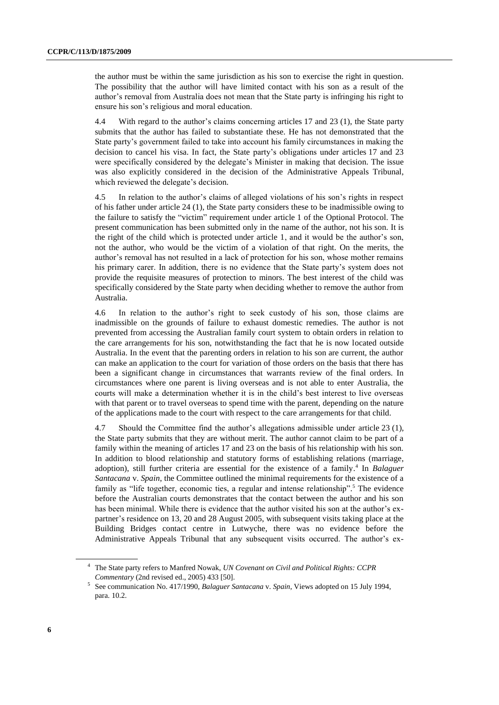the author must be within the same jurisdiction as his son to exercise the right in question. The possibility that the author will have limited contact with his son as a result of the author's removal from Australia does not mean that the State party is infringing his right to ensure his son's religious and moral education.

4.4 With regard to the author's claims concerning articles 17 and 23 (1), the State party submits that the author has failed to substantiate these. He has not demonstrated that the State party's government failed to take into account his family circumstances in making the decision to cancel his visa. In fact, the State party's obligations under articles 17 and 23 were specifically considered by the delegate's Minister in making that decision. The issue was also explicitly considered in the decision of the Administrative Appeals Tribunal, which reviewed the delegate's decision.

4.5 In relation to the author's claims of alleged violations of his son's rights in respect of his father under article 24 (1), the State party considers these to be inadmissible owing to the failure to satisfy the "victim" requirement under article 1 of the Optional Protocol. The present communication has been submitted only in the name of the author, not his son. It is the right of the child which is protected under article 1, and it would be the author's son, not the author, who would be the victim of a violation of that right. On the merits, the author's removal has not resulted in a lack of protection for his son, whose mother remains his primary carer. In addition, there is no evidence that the State party's system does not provide the requisite measures of protection to minors. The best interest of the child was specifically considered by the State party when deciding whether to remove the author from Australia.

4.6 In relation to the author's right to seek custody of his son, those claims are inadmissible on the grounds of failure to exhaust domestic remedies. The author is not prevented from accessing the Australian family court system to obtain orders in relation to the care arrangements for his son, notwithstanding the fact that he is now located outside Australia. In the event that the parenting orders in relation to his son are current, the author can make an application to the court for variation of those orders on the basis that there has been a significant change in circumstances that warrants review of the final orders. In circumstances where one parent is living overseas and is not able to enter Australia, the courts will make a determination whether it is in the child's best interest to live overseas with that parent or to travel overseas to spend time with the parent, depending on the nature of the applications made to the court with respect to the care arrangements for that child.

4.7 Should the Committee find the author's allegations admissible under article 23 (1), the State party submits that they are without merit. The author cannot claim to be part of a family within the meaning of articles 17 and 23 on the basis of his relationship with his son. In addition to blood relationship and statutory forms of establishing relations (marriage, adoption), still further criteria are essential for the existence of a family. 4 In *Balaguer Santacana* v. *Spain*, the Committee outlined the minimal requirements for the existence of a family as "life together, economic ties, a regular and intense relationship".<sup>5</sup> The evidence before the Australian courts demonstrates that the contact between the author and his son has been minimal. While there is evidence that the author visited his son at the author's expartner's residence on 13, 20 and 28 August 2005, with subsequent visits taking place at the Building Bridges contact centre in Lutwyche, there was no evidence before the Administrative Appeals Tribunal that any subsequent visits occurred. The author's ex-

<sup>4</sup> The State party refers to Manfred Nowak, *UN Covenant on Civil and Political Rights: CCPR Commentary* (2nd revised ed., 2005) 433 [50].

<sup>5</sup> See communication No. 417/1990, *Balaguer Santacana* v. *Spain*, Views adopted on 15 July 1994, para. 10.2.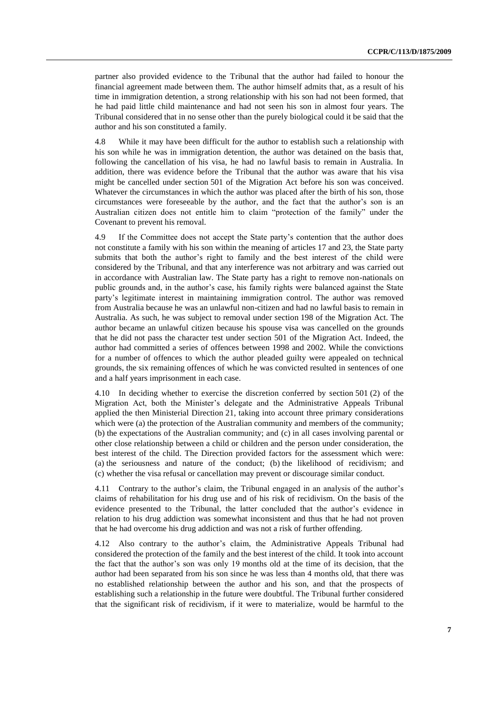partner also provided evidence to the Tribunal that the author had failed to honour the financial agreement made between them. The author himself admits that, as a result of his time in immigration detention, a strong relationship with his son had not been formed, that he had paid little child maintenance and had not seen his son in almost four years. The Tribunal considered that in no sense other than the purely biological could it be said that the author and his son constituted a family.

4.8 While it may have been difficult for the author to establish such a relationship with his son while he was in immigration detention, the author was detained on the basis that, following the cancellation of his visa, he had no lawful basis to remain in Australia. In addition, there was evidence before the Tribunal that the author was aware that his visa might be cancelled under section 501 of the Migration Act before his son was conceived. Whatever the circumstances in which the author was placed after the birth of his son, those circumstances were foreseeable by the author, and the fact that the author's son is an Australian citizen does not entitle him to claim "protection of the family" under the Covenant to prevent his removal.

4.9 If the Committee does not accept the State party's contention that the author does not constitute a family with his son within the meaning of articles 17 and 23, the State party submits that both the author's right to family and the best interest of the child were considered by the Tribunal, and that any interference was not arbitrary and was carried out in accordance with Australian law. The State party has a right to remove non-nationals on public grounds and, in the author's case, his family rights were balanced against the State party's legitimate interest in maintaining immigration control. The author was removed from Australia because he was an unlawful non-citizen and had no lawful basis to remain in Australia. As such, he was subject to removal under section 198 of the Migration Act. The author became an unlawful citizen because his spouse visa was cancelled on the grounds that he did not pass the character test under section 501 of the Migration Act. Indeed, the author had committed a series of offences between 1998 and 2002. While the convictions for a number of offences to which the author pleaded guilty were appealed on technical grounds, the six remaining offences of which he was convicted resulted in sentences of one and a half years imprisonment in each case.

4.10 In deciding whether to exercise the discretion conferred by section 501 (2) of the Migration Act, both the Minister's delegate and the Administrative Appeals Tribunal applied the then Ministerial Direction 21, taking into account three primary considerations which were (a) the protection of the Australian community and members of the community; (b) the expectations of the Australian community; and (c) in all cases involving parental or other close relationship between a child or children and the person under consideration, the best interest of the child. The Direction provided factors for the assessment which were: (a) the seriousness and nature of the conduct; (b) the likelihood of recidivism; and (c) whether the visa refusal or cancellation may prevent or discourage similar conduct.

4.11 Contrary to the author's claim, the Tribunal engaged in an analysis of the author's claims of rehabilitation for his drug use and of his risk of recidivism. On the basis of the evidence presented to the Tribunal, the latter concluded that the author's evidence in relation to his drug addiction was somewhat inconsistent and thus that he had not proven that he had overcome his drug addiction and was not a risk of further offending.

4.12 Also contrary to the author's claim, the Administrative Appeals Tribunal had considered the protection of the family and the best interest of the child. It took into account the fact that the author's son was only 19 months old at the time of its decision, that the author had been separated from his son since he was less than 4 months old, that there was no established relationship between the author and his son, and that the prospects of establishing such a relationship in the future were doubtful. The Tribunal further considered that the significant risk of recidivism, if it were to materialize, would be harmful to the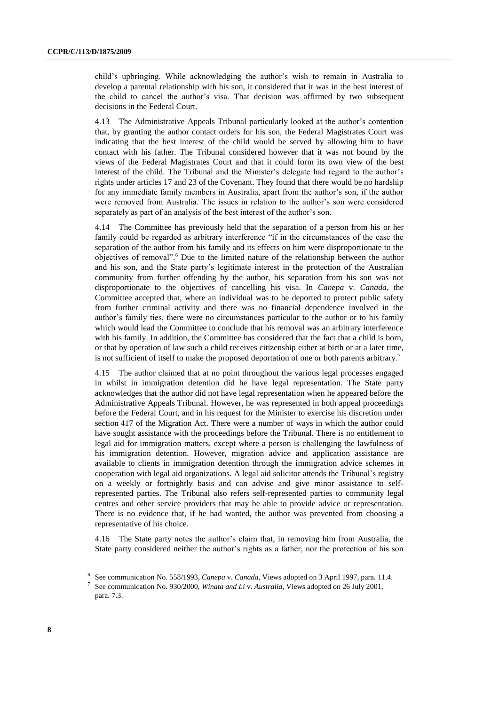child's upbringing. While acknowledging the author's wish to remain in Australia to develop a parental relationship with his son, it considered that it was in the best interest of the child to cancel the author's visa. That decision was affirmed by two subsequent decisions in the Federal Court.

4.13 The Administrative Appeals Tribunal particularly looked at the author's contention that, by granting the author contact orders for his son, the Federal Magistrates Court was indicating that the best interest of the child would be served by allowing him to have contact with his father. The Tribunal considered however that it was not bound by the views of the Federal Magistrates Court and that it could form its own view of the best interest of the child. The Tribunal and the Minister's delegate had regard to the author's rights under articles 17 and 23 of the Covenant. They found that there would be no hardship for any immediate family members in Australia, apart from the author's son, if the author were removed from Australia. The issues in relation to the author's son were considered separately as part of an analysis of the best interest of the author's son.

4.14 The Committee has previously held that the separation of a person from his or her family could be regarded as arbitrary interference "if in the circumstances of the case the separation of the author from his family and its effects on him were disproportionate to the objectives of removal". <sup>6</sup> Due to the limited nature of the relationship between the author and his son, and the State party's legitimate interest in the protection of the Australian community from further offending by the author, his separation from his son was not disproportionate to the objectives of cancelling his visa. In *Canepa* v. *Canada*, the Committee accepted that, where an individual was to be deported to protect public safety from further criminal activity and there was no financial dependence involved in the author's family ties, there were no circumstances particular to the author or to his family which would lead the Committee to conclude that his removal was an arbitrary interference with his family. In addition, the Committee has considered that the fact that a child is born, or that by operation of law such a child receives citizenship either at birth or at a later time, is not sufficient of itself to make the proposed deportation of one or both parents arbitrary.<sup>7</sup>

4.15 The author claimed that at no point throughout the various legal processes engaged in whilst in immigration detention did he have legal representation. The State party acknowledges that the author did not have legal representation when he appeared before the Administrative Appeals Tribunal. However, he was represented in both appeal proceedings before the Federal Court, and in his request for the Minister to exercise his discretion under section 417 of the Migration Act. There were a number of ways in which the author could have sought assistance with the proceedings before the Tribunal. There is no entitlement to legal aid for immigration matters, except where a person is challenging the lawfulness of his immigration detention. However, migration advice and application assistance are available to clients in immigration detention through the immigration advice schemes in cooperation with legal aid organizations. A legal aid solicitor attends the Tribunal's registry on a weekly or fortnightly basis and can advise and give minor assistance to selfrepresented parties. The Tribunal also refers self-represented parties to community legal centres and other service providers that may be able to provide advice or representation. There is no evidence that, if he had wanted, the author was prevented from choosing a representative of his choice.

4.16 The State party notes the author's claim that, in removing him from Australia, the State party considered neither the author's rights as a father, nor the protection of his son

<sup>6</sup> See communication No. 558/1993, *Canepa* v. *Canada*, Views adopted on 3 April 1997, para. 11.4. 7 See communication No. 930/2000, *Winata and Li* v. *Australia*, Views adopted on 26 July 2001, para. 7.3.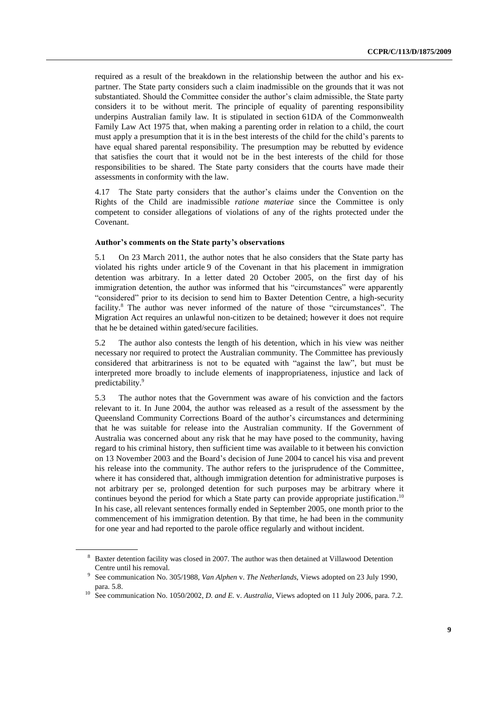required as a result of the breakdown in the relationship between the author and his expartner. The State party considers such a claim inadmissible on the grounds that it was not substantiated. Should the Committee consider the author's claim admissible, the State party considers it to be without merit. The principle of equality of parenting responsibility underpins Australian family law. It is stipulated in section 61DA of the Commonwealth Family Law Act 1975 that, when making a parenting order in relation to a child, the court must apply a presumption that it is in the best interests of the child for the child's parents to have equal shared parental responsibility. The presumption may be rebutted by evidence that satisfies the court that it would not be in the best interests of the child for those responsibilities to be shared. The State party considers that the courts have made their assessments in conformity with the law.

4.17 The State party considers that the author's claims under the Convention on the Rights of the Child are inadmissible *ratione materiae* since the Committee is only competent to consider allegations of violations of any of the rights protected under the Covenant.

#### **Author's comments on the State party's observations**

5.1 On 23 March 2011, the author notes that he also considers that the State party has violated his rights under article 9 of the Covenant in that his placement in immigration detention was arbitrary. In a letter dated 20 October 2005, on the first day of his immigration detention, the author was informed that his "circumstances" were apparently "considered" prior to its decision to send him to Baxter Detention Centre, a high-security facility. <sup>8</sup> The author was never informed of the nature of those "circumstances". The Migration Act requires an unlawful non-citizen to be detained; however it does not require that he be detained within gated/secure facilities.

5.2 The author also contests the length of his detention, which in his view was neither necessary nor required to protect the Australian community. The Committee has previously considered that arbitrariness is not to be equated with "against the law", but must be interpreted more broadly to include elements of inappropriateness, injustice and lack of predictability. 9

5.3 The author notes that the Government was aware of his conviction and the factors relevant to it. In June 2004, the author was released as a result of the assessment by the Queensland Community Corrections Board of the author's circumstances and determining that he was suitable for release into the Australian community. If the Government of Australia was concerned about any risk that he may have posed to the community, having regard to his criminal history, then sufficient time was available to it between his conviction on 13 November 2003 and the Board's decision of June 2004 to cancel his visa and prevent his release into the community. The author refers to the jurisprudence of the Committee, where it has considered that, although immigration detention for administrative purposes is not arbitrary per se, prolonged detention for such purposes may be arbitrary where it continues beyond the period for which a State party can provide appropriate justification.<sup>10</sup> In his case, all relevant sentences formally ended in September 2005, one month prior to the commencement of his immigration detention. By that time, he had been in the community for one year and had reported to the parole office regularly and without incident.

<sup>8</sup> Baxter detention facility was closed in 2007. The author was then detained at Villawood Detention Centre until his removal.

<sup>9</sup> See communication No. 305/1988, *Van Alphen* v. *The Netherlands*, Views adopted on 23 July 1990, para. 5.8.

<sup>&</sup>lt;sup>10</sup> See communication No. 1050/2002, *D. and E. v. Australia*, Views adopted on 11 July 2006, para. 7.2.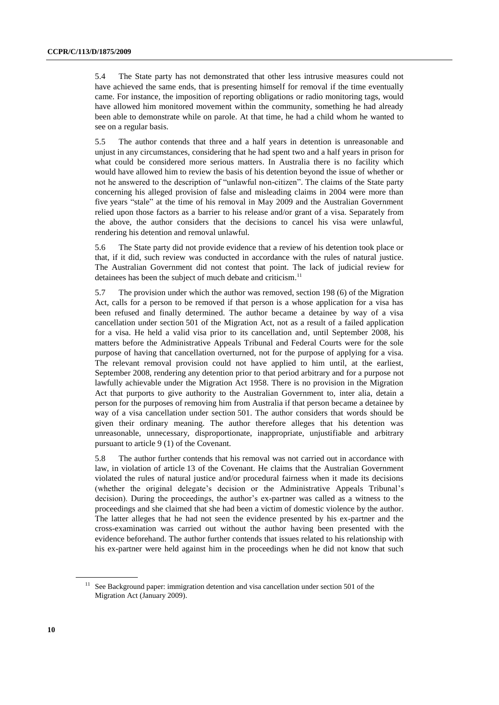5.4 The State party has not demonstrated that other less intrusive measures could not have achieved the same ends, that is presenting himself for removal if the time eventually came. For instance, the imposition of reporting obligations or radio monitoring tags, would have allowed him monitored movement within the community, something he had already been able to demonstrate while on parole. At that time, he had a child whom he wanted to see on a regular basis.

5.5 The author contends that three and a half years in detention is unreasonable and unjust in any circumstances, considering that he had spent two and a half years in prison for what could be considered more serious matters. In Australia there is no facility which would have allowed him to review the basis of his detention beyond the issue of whether or not he answered to the description of "unlawful non-citizen". The claims of the State party concerning his alleged provision of false and misleading claims in 2004 were more than five years "stale" at the time of his removal in May 2009 and the Australian Government relied upon those factors as a barrier to his release and/or grant of a visa. Separately from the above, the author considers that the decisions to cancel his visa were unlawful, rendering his detention and removal unlawful.

5.6 The State party did not provide evidence that a review of his detention took place or that, if it did, such review was conducted in accordance with the rules of natural justice. The Australian Government did not contest that point. The lack of judicial review for detainees has been the subject of much debate and criticism.<sup>11</sup>

5.7 The provision under which the author was removed, section 198 (6) of the Migration Act, calls for a person to be removed if that person is a whose application for a visa has been refused and finally determined. The author became a detainee by way of a visa cancellation under section 501 of the Migration Act, not as a result of a failed application for a visa. He held a valid visa prior to its cancellation and, until September 2008, his matters before the Administrative Appeals Tribunal and Federal Courts were for the sole purpose of having that cancellation overturned, not for the purpose of applying for a visa. The relevant removal provision could not have applied to him until, at the earliest, September 2008, rendering any detention prior to that period arbitrary and for a purpose not lawfully achievable under the Migration Act 1958. There is no provision in the Migration Act that purports to give authority to the Australian Government to, inter alia, detain a person for the purposes of removing him from Australia if that person became a detainee by way of a visa cancellation under section 501. The author considers that words should be given their ordinary meaning. The author therefore alleges that his detention was unreasonable, unnecessary, disproportionate, inappropriate, unjustifiable and arbitrary pursuant to article 9 (1) of the Covenant.

5.8 The author further contends that his removal was not carried out in accordance with law, in violation of article 13 of the Covenant. He claims that the Australian Government violated the rules of natural justice and/or procedural fairness when it made its decisions (whether the original delegate's decision or the Administrative Appeals Tribunal's decision). During the proceedings, the author's ex-partner was called as a witness to the proceedings and she claimed that she had been a victim of domestic violence by the author. The latter alleges that he had not seen the evidence presented by his ex-partner and the cross-examination was carried out without the author having been presented with the evidence beforehand. The author further contends that issues related to his relationship with his ex-partner were held against him in the proceedings when he did not know that such

 $11$  See Background paper: immigration detention and visa cancellation under section 501 of the Migration Act (January 2009).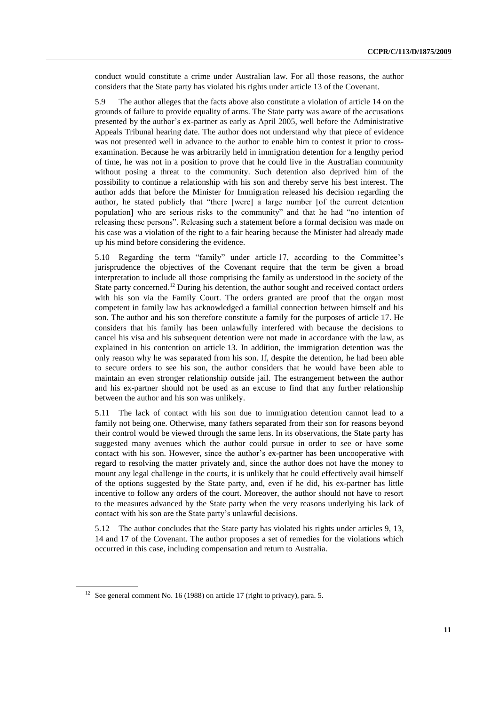conduct would constitute a crime under Australian law. For all those reasons, the author considers that the State party has violated his rights under article 13 of the Covenant.

5.9 The author alleges that the facts above also constitute a violation of article 14 on the grounds of failure to provide equality of arms. The State party was aware of the accusations presented by the author's ex-partner as early as April 2005, well before the Administrative Appeals Tribunal hearing date. The author does not understand why that piece of evidence was not presented well in advance to the author to enable him to contest it prior to crossexamination. Because he was arbitrarily held in immigration detention for a lengthy period of time, he was not in a position to prove that he could live in the Australian community without posing a threat to the community. Such detention also deprived him of the possibility to continue a relationship with his son and thereby serve his best interest. The author adds that before the Minister for Immigration released his decision regarding the author, he stated publicly that "there [were] a large number [of the current detention population] who are serious risks to the community" and that he had "no intention of releasing these persons". Releasing such a statement before a formal decision was made on his case was a violation of the right to a fair hearing because the Minister had already made up his mind before considering the evidence.

5.10 Regarding the term "family" under article 17, according to the Committee's jurisprudence the objectives of the Covenant require that the term be given a broad interpretation to include all those comprising the family as understood in the society of the State party concerned.<sup>12</sup> During his detention, the author sought and received contact orders with his son via the Family Court. The orders granted are proof that the organ most competent in family law has acknowledged a familial connection between himself and his son. The author and his son therefore constitute a family for the purposes of article 17. He considers that his family has been unlawfully interfered with because the decisions to cancel his visa and his subsequent detention were not made in accordance with the law, as explained in his contention on article 13. In addition, the immigration detention was the only reason why he was separated from his son. If, despite the detention, he had been able to secure orders to see his son, the author considers that he would have been able to maintain an even stronger relationship outside jail. The estrangement between the author and his ex-partner should not be used as an excuse to find that any further relationship between the author and his son was unlikely.

5.11 The lack of contact with his son due to immigration detention cannot lead to a family not being one. Otherwise, many fathers separated from their son for reasons beyond their control would be viewed through the same lens. In its observations, the State party has suggested many avenues which the author could pursue in order to see or have some contact with his son. However, since the author's ex-partner has been uncooperative with regard to resolving the matter privately and, since the author does not have the money to mount any legal challenge in the courts, it is unlikely that he could effectively avail himself of the options suggested by the State party, and, even if he did, his ex-partner has little incentive to follow any orders of the court. Moreover, the author should not have to resort to the measures advanced by the State party when the very reasons underlying his lack of contact with his son are the State party's unlawful decisions.

5.12 The author concludes that the State party has violated his rights under articles 9, 13, 14 and 17 of the Covenant. The author proposes a set of remedies for the violations which occurred in this case, including compensation and return to Australia.

<sup>&</sup>lt;sup>12</sup> See general comment No. 16 (1988) on article 17 (right to privacy), para. 5.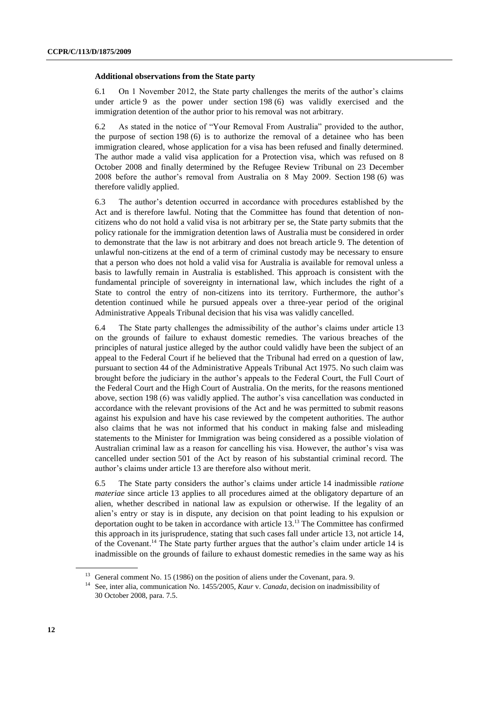#### **Additional observations from the State party**

6.1 On 1 November 2012, the State party challenges the merits of the author's claims under article 9 as the power under section 198 (6) was validly exercised and the immigration detention of the author prior to his removal was not arbitrary.

6.2 As stated in the notice of "Your Removal From Australia" provided to the author, the purpose of section 198 (6) is to authorize the removal of a detainee who has been immigration cleared, whose application for a visa has been refused and finally determined. The author made a valid visa application for a Protection visa, which was refused on 8 October 2008 and finally determined by the Refugee Review Tribunal on 23 December 2008 before the author's removal from Australia on 8 May 2009. Section 198 (6) was therefore validly applied.

6.3 The author's detention occurred in accordance with procedures established by the Act and is therefore lawful. Noting that the Committee has found that detention of noncitizens who do not hold a valid visa is not arbitrary per se, the State party submits that the policy rationale for the immigration detention laws of Australia must be considered in order to demonstrate that the law is not arbitrary and does not breach article 9. The detention of unlawful non-citizens at the end of a term of criminal custody may be necessary to ensure that a person who does not hold a valid visa for Australia is available for removal unless a basis to lawfully remain in Australia is established. This approach is consistent with the fundamental principle of sovereignty in international law, which includes the right of a State to control the entry of non-citizens into its territory. Furthermore, the author's detention continued while he pursued appeals over a three-year period of the original Administrative Appeals Tribunal decision that his visa was validly cancelled.

6.4 The State party challenges the admissibility of the author's claims under article 13 on the grounds of failure to exhaust domestic remedies. The various breaches of the principles of natural justice alleged by the author could validly have been the subject of an appeal to the Federal Court if he believed that the Tribunal had erred on a question of law, pursuant to section 44 of the Administrative Appeals Tribunal Act 1975. No such claim was brought before the judiciary in the author's appeals to the Federal Court, the Full Court of the Federal Court and the High Court of Australia. On the merits, for the reasons mentioned above, section 198 (6) was validly applied. The author's visa cancellation was conducted in accordance with the relevant provisions of the Act and he was permitted to submit reasons against his expulsion and have his case reviewed by the competent authorities. The author also claims that he was not informed that his conduct in making false and misleading statements to the Minister for Immigration was being considered as a possible violation of Australian criminal law as a reason for cancelling his visa. However, the author's visa was cancelled under section 501 of the Act by reason of his substantial criminal record. The author's claims under article 13 are therefore also without merit.

6.5 The State party considers the author's claims under article 14 inadmissible *ratione materiae* since article 13 applies to all procedures aimed at the obligatory departure of an alien, whether described in national law as expulsion or otherwise. If the legality of an alien's entry or stay is in dispute, any decision on that point leading to his expulsion or deportation ought to be taken in accordance with article 13. <sup>13</sup> The Committee has confirmed this approach in its jurisprudence, stating that such cases fall under article 13, not article 14, of the Covenant. <sup>14</sup> The State party further argues that the author's claim under article 14 is inadmissible on the grounds of failure to exhaust domestic remedies in the same way as his

<sup>&</sup>lt;sup>13</sup> General comment No. 15 (1986) on the position of aliens under the Covenant, para. 9.

<sup>14</sup> See, inter alia, communication No. 1455/2005, *Kaur* v. *Canada*, decision on inadmissibility of 30 October 2008, para. 7.5.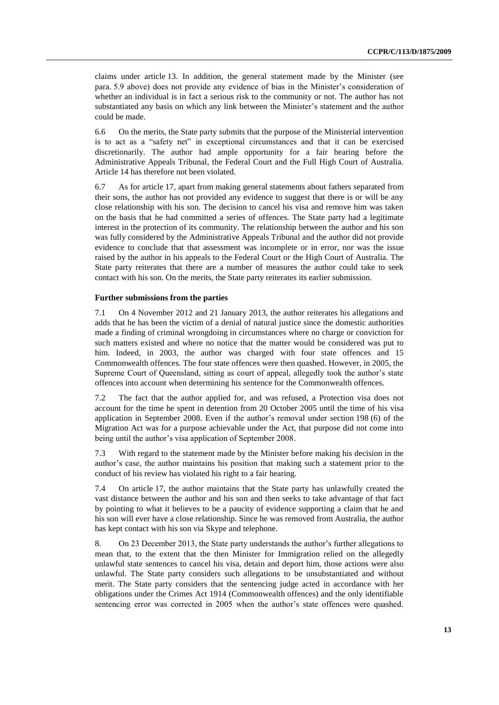claims under article 13. In addition, the general statement made by the Minister (see para. 5.9 above) does not provide any evidence of bias in the Minister's consideration of whether an individual is in fact a serious risk to the community or not. The author has not substantiated any basis on which any link between the Minister's statement and the author could be made.

6.6 On the merits, the State party submits that the purpose of the Ministerial intervention is to act as a "safety net" in exceptional circumstances and that it can be exercised discretionarily. The author had ample opportunity for a fair hearing before the Administrative Appeals Tribunal, the Federal Court and the Full High Court of Australia. Article 14 has therefore not been violated.

6.7 As for article 17, apart from making general statements about fathers separated from their sons, the author has not provided any evidence to suggest that there is or will be any close relationship with his son. The decision to cancel his visa and remove him was taken on the basis that he had committed a series of offences. The State party had a legitimate interest in the protection of its community. The relationship between the author and his son was fully considered by the Administrative Appeals Tribunal and the author did not provide evidence to conclude that that assessment was incomplete or in error, nor was the issue raised by the author in his appeals to the Federal Court or the High Court of Australia. The State party reiterates that there are a number of measures the author could take to seek contact with his son. On the merits, the State party reiterates its earlier submission.

#### **Further submissions from the parties**

7.1 On 4 November 2012 and 21 January 2013, the author reiterates his allegations and adds that he has been the victim of a denial of natural justice since the domestic authorities made a finding of criminal wrongdoing in circumstances where no charge or conviction for such matters existed and where no notice that the matter would be considered was put to him. Indeed, in 2003, the author was charged with four state offences and 15 Commonwealth offences. The four state offences were then quashed. However, in 2005, the Supreme Court of Queensland, sitting as court of appeal, allegedly took the author's state offences into account when determining his sentence for the Commonwealth offences.

7.2 The fact that the author applied for, and was refused, a Protection visa does not account for the time he spent in detention from 20 October 2005 until the time of his visa application in September 2008. Even if the author's removal under section 198 (6) of the Migration Act was for a purpose achievable under the Act, that purpose did not come into being until the author's visa application of September 2008.

7.3 With regard to the statement made by the Minister before making his decision in the author's case, the author maintains his position that making such a statement prior to the conduct of his review has violated his right to a fair hearing.

7.4 On article 17, the author maintains that the State party has unlawfully created the vast distance between the author and his son and then seeks to take advantage of that fact by pointing to what it believes to be a paucity of evidence supporting a claim that he and his son will ever have a close relationship. Since he was removed from Australia, the author has kept contact with his son via Skype and telephone.

8. On 23 December 2013, the State party understands the author's further allegations to mean that, to the extent that the then Minister for Immigration relied on the allegedly unlawful state sentences to cancel his visa, detain and deport him, those actions were also unlawful. The State party considers such allegations to be unsubstantiated and without merit. The State party considers that the sentencing judge acted in accordance with her obligations under the Crimes Act 1914 (Commonwealth offences) and the only identifiable sentencing error was corrected in 2005 when the author's state offences were quashed.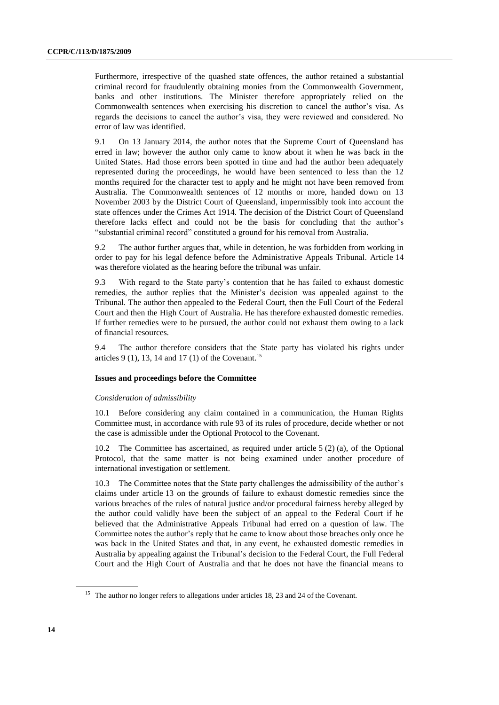Furthermore, irrespective of the quashed state offences, the author retained a substantial criminal record for fraudulently obtaining monies from the Commonwealth Government, banks and other institutions. The Minister therefore appropriately relied on the Commonwealth sentences when exercising his discretion to cancel the author's visa. As regards the decisions to cancel the author's visa, they were reviewed and considered. No error of law was identified.

9.1 On 13 January 2014, the author notes that the Supreme Court of Queensland has erred in law; however the author only came to know about it when he was back in the United States. Had those errors been spotted in time and had the author been adequately represented during the proceedings, he would have been sentenced to less than the 12 months required for the character test to apply and he might not have been removed from Australia. The Commonwealth sentences of 12 months or more, handed down on 13 November 2003 by the District Court of Queensland, impermissibly took into account the state offences under the Crimes Act 1914. The decision of the District Court of Queensland therefore lacks effect and could not be the basis for concluding that the author's "substantial criminal record" constituted a ground for his removal from Australia.

9.2 The author further argues that, while in detention, he was forbidden from working in order to pay for his legal defence before the Administrative Appeals Tribunal. Article 14 was therefore violated as the hearing before the tribunal was unfair.

9.3 With regard to the State party's contention that he has failed to exhaust domestic remedies, the author replies that the Minister's decision was appealed against to the Tribunal. The author then appealed to the Federal Court, then the Full Court of the Federal Court and then the High Court of Australia. He has therefore exhausted domestic remedies. If further remedies were to be pursued, the author could not exhaust them owing to a lack of financial resources.

9.4 The author therefore considers that the State party has violated his rights under articles 9 (1), 13, 14 and 17 (1) of the Covenant.<sup>15</sup>

#### **Issues and proceedings before the Committee**

#### *Consideration of admissibility*

10.1 Before considering any claim contained in a communication, the Human Rights Committee must, in accordance with rule 93 of its rules of procedure, decide whether or not the case is admissible under the Optional Protocol to the Covenant.

10.2 The Committee has ascertained, as required under article 5 (2) (a), of the Optional Protocol, that the same matter is not being examined under another procedure of international investigation or settlement.

10.3 The Committee notes that the State party challenges the admissibility of the author's claims under article 13 on the grounds of failure to exhaust domestic remedies since the various breaches of the rules of natural justice and/or procedural fairness hereby alleged by the author could validly have been the subject of an appeal to the Federal Court if he believed that the Administrative Appeals Tribunal had erred on a question of law. The Committee notes the author's reply that he came to know about those breaches only once he was back in the United States and that, in any event, he exhausted domestic remedies in Australia by appealing against the Tribunal's decision to the Federal Court, the Full Federal Court and the High Court of Australia and that he does not have the financial means to

<sup>&</sup>lt;sup>15</sup> The author no longer refers to allegations under articles 18, 23 and 24 of the Covenant.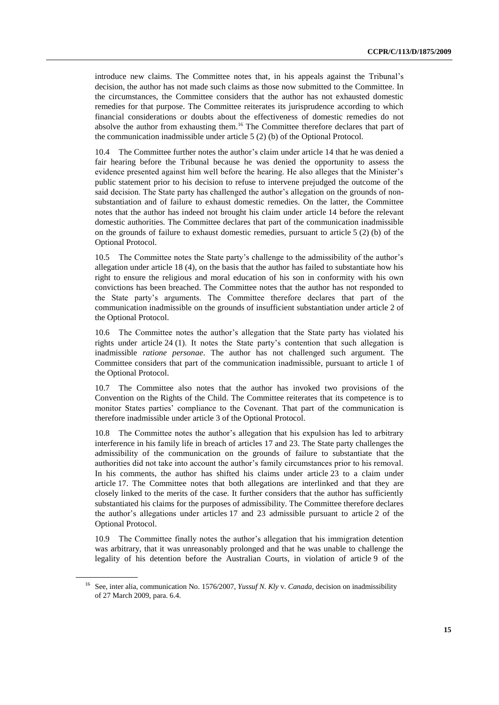introduce new claims. The Committee notes that, in his appeals against the Tribunal's decision, the author has not made such claims as those now submitted to the Committee. In the circumstances, the Committee considers that the author has not exhausted domestic remedies for that purpose. The Committee reiterates its jurisprudence according to which financial considerations or doubts about the effectiveness of domestic remedies do not absolve the author from exhausting them.<sup>16</sup> The Committee therefore declares that part of the communication inadmissible under article 5 (2) (b) of the Optional Protocol.

10.4 The Committee further notes the author's claim under article 14 that he was denied a fair hearing before the Tribunal because he was denied the opportunity to assess the evidence presented against him well before the hearing. He also alleges that the Minister's public statement prior to his decision to refuse to intervene prejudged the outcome of the said decision. The State party has challenged the author's allegation on the grounds of nonsubstantiation and of failure to exhaust domestic remedies. On the latter, the Committee notes that the author has indeed not brought his claim under article 14 before the relevant domestic authorities. The Committee declares that part of the communication inadmissible on the grounds of failure to exhaust domestic remedies, pursuant to article  $5(2)$  (b) of the Optional Protocol.

10.5 The Committee notes the State party's challenge to the admissibility of the author's allegation under article 18 (4), on the basis that the author has failed to substantiate how his right to ensure the religious and moral education of his son in conformity with his own convictions has been breached. The Committee notes that the author has not responded to the State party's arguments. The Committee therefore declares that part of the communication inadmissible on the grounds of insufficient substantiation under article 2 of the Optional Protocol.

10.6 The Committee notes the author's allegation that the State party has violated his rights under article 24 (1). It notes the State party's contention that such allegation is inadmissible *ratione personae*. The author has not challenged such argument. The Committee considers that part of the communication inadmissible, pursuant to article 1 of the Optional Protocol.

10.7 The Committee also notes that the author has invoked two provisions of the Convention on the Rights of the Child. The Committee reiterates that its competence is to monitor States parties' compliance to the Covenant. That part of the communication is therefore inadmissible under article 3 of the Optional Protocol.

10.8 The Committee notes the author's allegation that his expulsion has led to arbitrary interference in his family life in breach of articles 17 and 23. The State party challenges the admissibility of the communication on the grounds of failure to substantiate that the authorities did not take into account the author's family circumstances prior to his removal. In his comments, the author has shifted his claims under article 23 to a claim under article 17. The Committee notes that both allegations are interlinked and that they are closely linked to the merits of the case. It further considers that the author has sufficiently substantiated his claims for the purposes of admissibility. The Committee therefore declares the author's allegations under articles 17 and 23 admissible pursuant to article 2 of the Optional Protocol.

10.9 The Committee finally notes the author's allegation that his immigration detention was arbitrary, that it was unreasonably prolonged and that he was unable to challenge the legality of his detention before the Australian Courts, in violation of article 9 of the

<sup>16</sup> See, inter alia, communication No. 1576/2007, *Yussuf N. Kly* v. *Canada*, decision on inadmissibility of 27 March 2009, para. 6.4.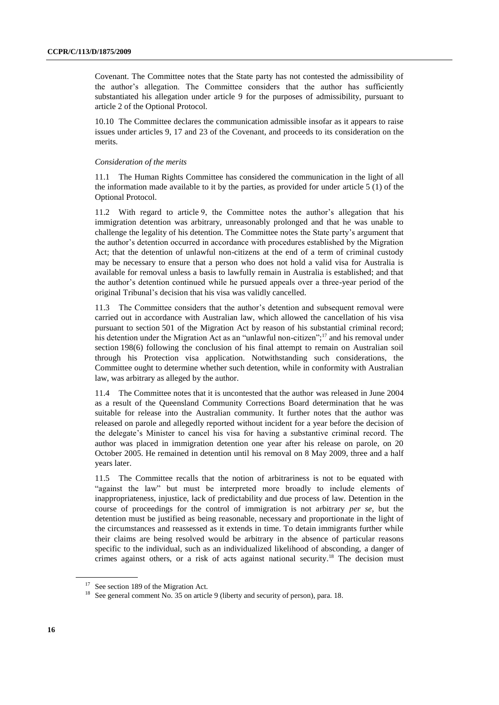Covenant. The Committee notes that the State party has not contested the admissibility of the author's allegation. The Committee considers that the author has sufficiently substantiated his allegation under article 9 for the purposes of admissibility, pursuant to article 2 of the Optional Protocol.

10.10 The Committee declares the communication admissible insofar as it appears to raise issues under articles 9, 17 and 23 of the Covenant, and proceeds to its consideration on the merits.

#### *Consideration of the merits*

11.1 The Human Rights Committee has considered the communication in the light of all the information made available to it by the parties, as provided for under article 5 (1) of the Optional Protocol.

11.2 With regard to article 9, the Committee notes the author's allegation that his immigration detention was arbitrary, unreasonably prolonged and that he was unable to challenge the legality of his detention. The Committee notes the State party's argument that the author's detention occurred in accordance with procedures established by the Migration Act; that the detention of unlawful non-citizens at the end of a term of criminal custody may be necessary to ensure that a person who does not hold a valid visa for Australia is available for removal unless a basis to lawfully remain in Australia is established; and that the author's detention continued while he pursued appeals over a three-year period of the original Tribunal's decision that his visa was validly cancelled.

11.3 The Committee considers that the author's detention and subsequent removal were carried out in accordance with Australian law, which allowed the cancellation of his visa pursuant to section 501 of the Migration Act by reason of his substantial criminal record; his detention under the Migration Act as an "unlawful non-citizen";<sup>17</sup> and his removal under section 198(6) following the conclusion of his final attempt to remain on Australian soil through his Protection visa application. Notwithstanding such considerations, the Committee ought to determine whether such detention, while in conformity with Australian law, was arbitrary as alleged by the author.

11.4 The Committee notes that it is uncontested that the author was released in June 2004 as a result of the Queensland Community Corrections Board determination that he was suitable for release into the Australian community. It further notes that the author was released on parole and allegedly reported without incident for a year before the decision of the delegate's Minister to cancel his visa for having a substantive criminal record. The author was placed in immigration detention one year after his release on parole, on 20 October 2005. He remained in detention until his removal on 8 May 2009, three and a half years later.

11.5 The Committee recalls that the notion of arbitrariness is not to be equated with "against the law" but must be interpreted more broadly to include elements of inappropriateness, injustice, lack of predictability and due process of law. Detention in the course of proceedings for the control of immigration is not arbitrary *per se*, but the detention must be justified as being reasonable, necessary and proportionate in the light of the circumstances and reassessed as it extends in time. To detain immigrants further while their claims are being resolved would be arbitrary in the absence of particular reasons specific to the individual, such as an individualized likelihood of absconding, a danger of crimes against others, or a risk of acts against national security.<sup>18</sup> The decision must

<sup>&</sup>lt;sup>17</sup> See section 189 of the Migration Act.

<sup>&</sup>lt;sup>18</sup> See general comment No. 35 on article 9 (liberty and security of person), para. 18.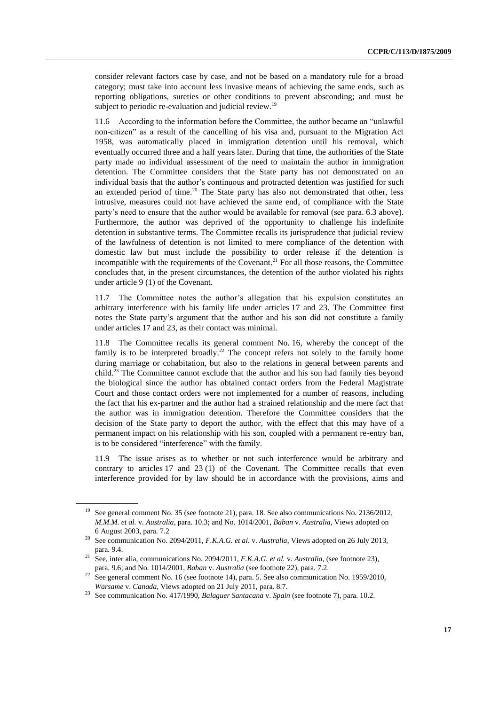consider relevant factors case by case, and not be based on a mandatory rule for a broad category; must take into account less invasive means of achieving the same ends, such as reporting obligations, sureties or other conditions to prevent absconding; and must be subject to periodic re-evaluation and judicial review.<sup>19</sup>

11.6 According to the information before the Committee, the author became an "unlawful non-citizen" as a result of the cancelling of his visa and, pursuant to the Migration Act 1958, was automatically placed in immigration detention until his removal, which eventually occurred three and a half years later. During that time, the authorities of the State party made no individual assessment of the need to maintain the author in immigration detention. The Committee considers that the State party has not demonstrated on an individual basis that the author's continuous and protracted detention was justified for such an extended period of time.<sup>20</sup> The State party has also not demonstrated that other, less intrusive, measures could not have achieved the same end, of compliance with the State party's need to ensure that the author would be available for removal (see para. 6.3 above). Furthermore, the author was deprived of the opportunity to challenge his indefinite detention in substantive terms. The Committee recalls its jurisprudence that judicial review of the lawfulness of detention is not limited to mere compliance of the detention with domestic law but must include the possibility to order release if the detention is incompatible with the requirements of the Covenant.<sup>21</sup> For all those reasons, the Committee concludes that, in the present circumstances, the detention of the author violated his rights under article 9 (1) of the Covenant.

11.7 The Committee notes the author's allegation that his expulsion constitutes an arbitrary interference with his family life under articles 17 and 23. The Committee first notes the State party's argument that the author and his son did not constitute a family under articles 17 and 23, as their contact was minimal.

11.8 The Committee recalls its general comment No. 16, whereby the concept of the family is to be interpreted broadly.<sup>22</sup> The concept refers not solely to the family home during marriage or cohabitation, but also to the relations in general between parents and child.<sup>23</sup> The Committee cannot exclude that the author and his son had family ties beyond the biological since the author has obtained contact orders from the Federal Magistrate Court and those contact orders were not implemented for a number of reasons, including the fact that his ex-partner and the author had a strained relationship and the mere fact that the author was in immigration detention. Therefore the Committee considers that the decision of the State party to deport the author, with the effect that this may have of a permanent impact on his relationship with his son, coupled with a permanent re-entry ban, is to be considered "interference" with the family.

11.9 The issue arises as to whether or not such interference would be arbitrary and contrary to articles 17 and 23 (1) of the Covenant. The Committee recalls that even interference provided for by law should be in accordance with the provisions, aims and

<sup>&</sup>lt;sup>19</sup> See general comment No. 35 (see footnote 21), para. 18. See also communications No. 2136/2012, *M.M.M. et al.* v. *Australia*, para. 10.3; and No. 1014/2001, *Baban* v. *Australia*, Views adopted on 6 August 2003, para. 7.2

<sup>20</sup> See communication No. 2094/2011, *F.K.A.G. et al.* v. *Australia*, Views adopted on 26 July 2013, para. 9.4.

<sup>21</sup> See, inter alia, communications No. 2094/2011, *F.K.A.G. et al.* v. *Australia*, (see footnote 23), para. 9.6; and No. 1014/2001, *Baban* v. *Australia* (see footnote 22), para. 7.2.

 $22$  See general comment No. 16 (see footnote 14), para. 5. See also communication No. 1959/2010, *Warsame* v. *Canada*, Views adopted on 21 July 2011, para. 8.7.

<sup>23</sup> See communication No. 417/1990, *Balaguer Santacana* v. *Spain* (see footnote 7), para. 10.2.